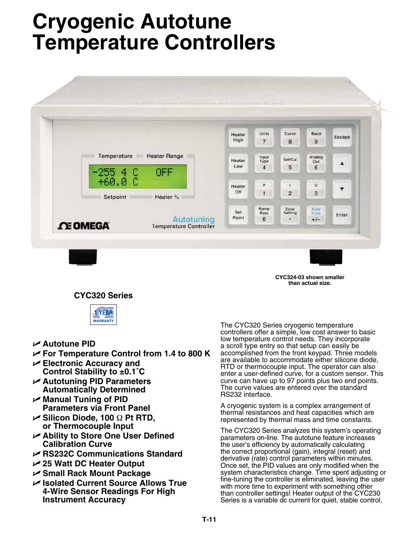# **Cryogenic Autotune Temperature Controllers**



**CYC324-03 shown smaller than actual size.**

# **CYC320 Series**



- U **Autotune PID**
- U **For Temperature Control from 1.4 to 800 K**
- U **Electronic Accuracy and Control Stability to ±0.1˚C**
- U **Autotuning PID Parameters Automatically Determined**
- U **Manual Tuning of PID Parameters via Front Panel**
- U **Silicon Diode, 100** Ω **Pt RTD, or Thermocouple Input**
- U **Ability to Store One User Defined Calibration Curve**
- U **RS232C Communications Standard**
- U **25 Watt DC Heater Output**
- U **Small Rack Mount Package**
- U **Isolated Current Source Allows True 4-Wire Sensor Readings For High Instrument Accuracy**

The CYC320 Series cryogenic temperature controllers offer a simple, low cost answer to basic low temperature control needs. They incorporate a scroll type entry so that setup can easily be accomplished from the front keypad. Three models are available to accommodate either silicone diode, RTD or thermocouple input. The operator can also enter a user-defined curve, for a custom sensor. This curve can have up to 97 points plus two end points. The curve values are entered over the standard RS232 interface.

A cryogenic system is a complex arrangement of thermal resistances and heat capacities which are represented by thermal mass and time constants.

The CYC320 Series analyzes this system's operating parameters on-line. The autotune feature increases the user's efficiency by automatically calculating the correct proportional (gain), integral (reset) and derivative (rate) control parameters within minutes. Once set, the PID values are only modified when the system characteristics change. Time spent adjusting or fine-tuning the controller is eliminated, leaving the user with more time to experiment with something other than controller settings! Heater output of the CYC230 Series is a variable dc current for quiet, stable control.